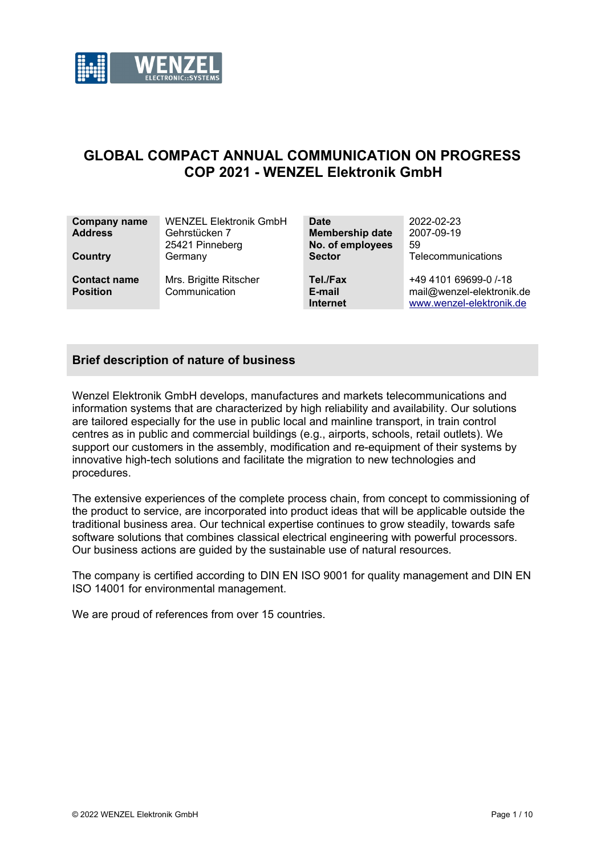

# **GLOBAL COMPACT ANNUAL COMMUNICATION ON PROGRESS COP 2021 - WENZEL Elektronik GmbH**

| <b>Company name</b><br><b>Address</b><br>Country | <b>WENZEL Elektronik GmbH</b><br>Gehrstücken 7<br>25421 Pinneberg<br>Germany | Date<br><b>Membership date</b><br>No. of employees<br><b>Sector</b> | 2022-02-23<br>2007-09-19<br>59<br>Telecommunications                           |
|--------------------------------------------------|------------------------------------------------------------------------------|---------------------------------------------------------------------|--------------------------------------------------------------------------------|
| <b>Contact name</b><br><b>Position</b>           | Mrs. Brigitte Ritscher<br>Communication                                      | Tel./Fax<br>E-mail<br><b>Internet</b>                               | +49 4101 69699-0 /-18<br>mail@wenzel-elektronik.de<br>www.wenzel-elektronik.de |

## **Brief description of nature of business**

Wenzel Elektronik GmbH develops, manufactures and markets telecommunications and information systems that are characterized by high reliability and availability. Our solutions are tailored especially for the use in public local and mainline transport, in train control centres as in public and commercial buildings (e.g., airports, schools, retail outlets). We support our customers in the assembly, modification and re-equipment of their systems by innovative high-tech solutions and facilitate the migration to new technologies and procedures.

The extensive experiences of the complete process chain, from concept to commissioning of the product to service, are incorporated into product ideas that will be applicable outside the traditional business area. Our technical expertise continues to grow steadily, towards safe software solutions that combines classical electrical engineering with powerful processors. Our business actions are guided by the sustainable use of natural resources.

The company is certified according to DIN EN ISO 9001 for quality management and DIN EN ISO 14001 for environmental management.

We are proud of references from over 15 countries.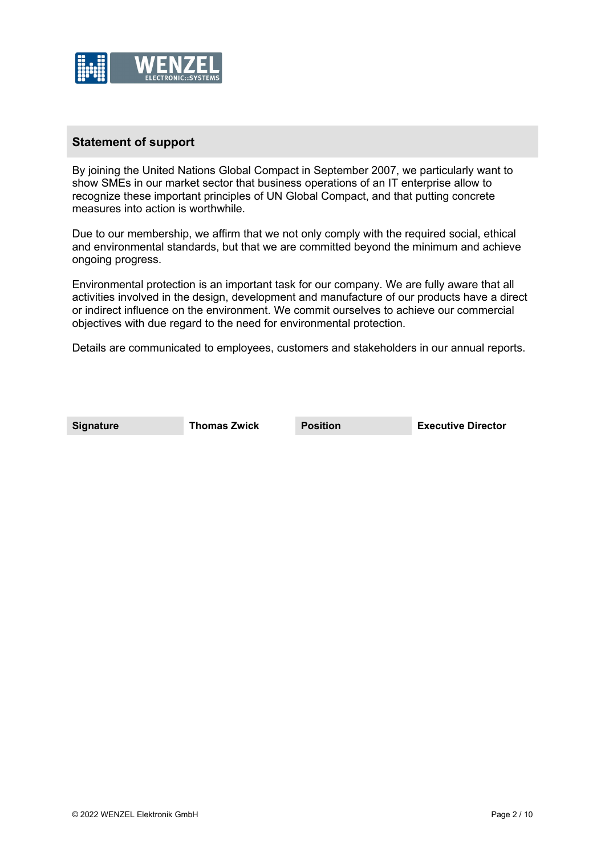

#### **Statement of support**

By joining the United Nations Global Compact in September 2007, we particularly want to show SMEs in our market sector that business operations of an IT enterprise allow to recognize these important principles of UN Global Compact, and that putting concrete measures into action is worthwhile.

Due to our membership, we affirm that we not only comply with the required social, ethical and environmental standards, but that we are committed beyond the minimum and achieve ongoing progress.

Environmental protection is an important task for our company. We are fully aware that all activities involved in the design, development and manufacture of our products have a direct or indirect influence on the environment. We commit ourselves to achieve our commercial objectives with due regard to the need for environmental protection.

Details are communicated to employees, customers and stakeholders in our annual reports.

**Signature Thomas Zwick Position Executive Director**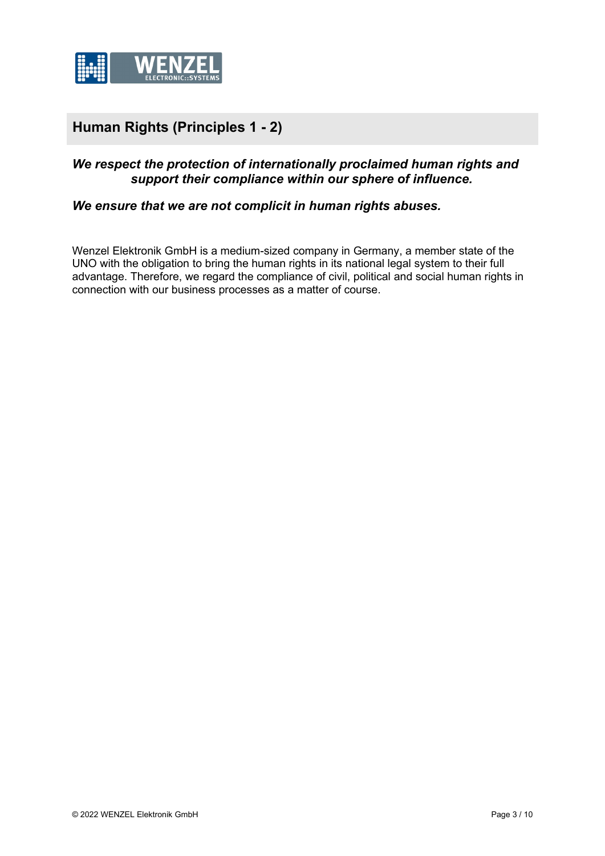

# **Human Rights (Principles 1 - 2)**

# *We respect the protection of internationally proclaimed human rights and support their compliance within our sphere of influence.*

#### *We ensure that we are not complicit in human rights abuses.*

Wenzel Elektronik GmbH is a medium-sized company in Germany, a member state of the UNO with the obligation to bring the human rights in its national legal system to their full advantage. Therefore, we regard the compliance of civil, political and social human rights in connection with our business processes as a matter of course.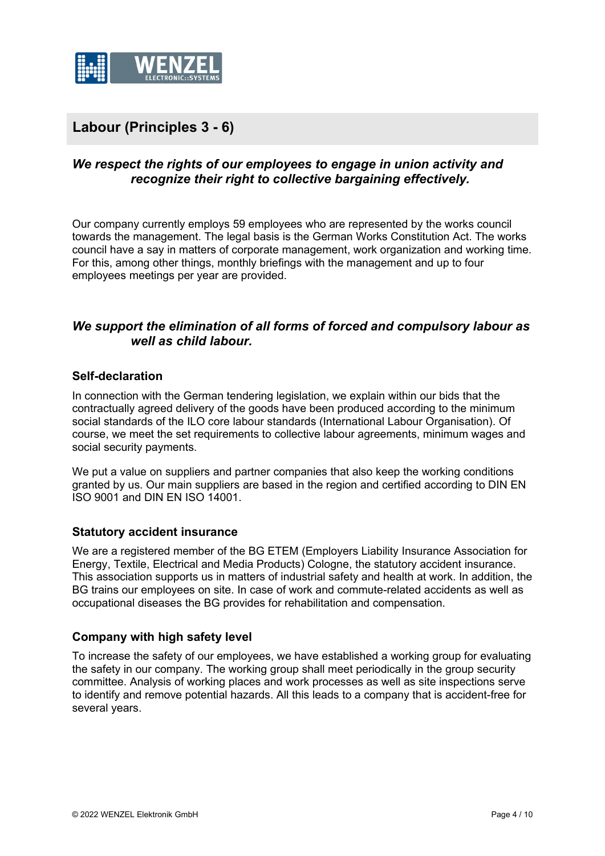

# **Labour (Principles 3 - 6)**

# *We respect the rights of our employees to engage in union activity and recognize their right to collective bargaining effectively.*

Our company currently employs 59 employees who are represented by the works council towards the management. The legal basis is the German Works Constitution Act. The works council have a say in matters of corporate management, work organization and working time. For this, among other things, monthly briefings with the management and up to four employees meetings per year are provided.

## *We support the elimination of all forms of forced and compulsory labour as well as child labour.*

#### **Self-declaration**

In connection with the German tendering legislation, we explain within our bids that the contractually agreed delivery of the goods have been produced according to the minimum social standards of the ILO core labour standards (International Labour Organisation). Of course, we meet the set requirements to collective labour agreements, minimum wages and social security payments.

We put a value on suppliers and partner companies that also keep the working conditions granted by us. Our main suppliers are based in the region and certified according to DIN EN ISO 9001 and DIN EN ISO 14001.

#### **Statutory accident insurance**

We are a registered member of the BG ETEM (Employers Liability Insurance Association for Energy, Textile, Electrical and Media Products) Cologne, the statutory accident insurance. This association supports us in matters of industrial safety and health at work. In addition, the BG trains our employees on site. In case of work and commute-related accidents as well as occupational diseases the BG provides for rehabilitation and compensation.

#### **Company with high safety level**

To increase the safety of our employees, we have established a working group for evaluating the safety in our company. The working group shall meet periodically in the group security committee. Analysis of working places and work processes as well as site inspections serve to identify and remove potential hazards. All this leads to a company that is accident-free for several years.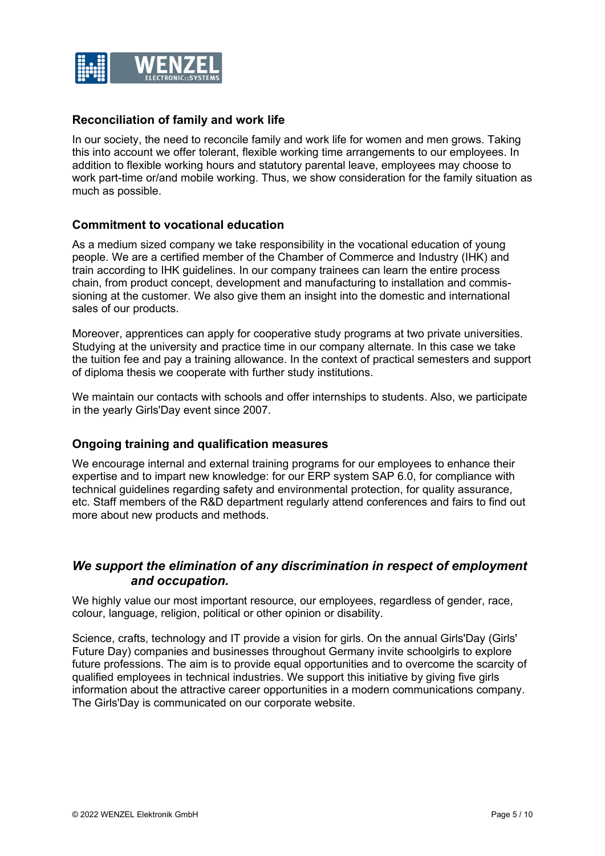

## **Reconciliation of family and work life**

In our society, the need to reconcile family and work life for women and men grows. Taking this into account we offer tolerant, flexible working time arrangements to our employees. In addition to flexible working hours and statutory parental leave, employees may choose to work part-time or/and mobile working. Thus, we show consideration for the family situation as much as possible.

#### **Commitment to vocational education**

As a medium sized company we take responsibility in the vocational education of young people. We are a certified member of the Chamber of Commerce and Industry (IHK) and train according to IHK guidelines. In our company trainees can learn the entire process chain, from product concept, development and manufacturing to installation and commissioning at the customer. We also give them an insight into the domestic and international sales of our products.

Moreover, apprentices can apply for cooperative study programs at two private universities. Studying at the university and practice time in our company alternate. In this case we take the tuition fee and pay a training allowance. In the context of practical semesters and support of diploma thesis we cooperate with further study institutions.

We maintain our contacts with schools and offer internships to students. Also, we participate in the yearly Girls'Day event since 2007.

#### **Ongoing training and qualification measures**

We encourage internal and external training programs for our employees to enhance their expertise and to impart new knowledge: for our ERP system SAP 6.0, for compliance with technical guidelines regarding safety and environmental protection, for quality assurance, etc. Staff members of the R&D department regularly attend conferences and fairs to find out more about new products and methods.

## *We support the elimination of any discrimination in respect of employment and occupation.*

We highly value our most important resource, our employees, regardless of gender, race, colour, language, religion, political or other opinion or disability.

Science, crafts, technology and IT provide a vision for girls. On the annual Girls'Day (Girls' Future Day) companies and businesses throughout Germany invite schoolgirls to explore future professions. The aim is to provide equal opportunities and to overcome the scarcity of qualified employees in technical industries. We support this initiative by giving five girls information about the attractive career opportunities in a modern communications company. The Girls'Day is communicated on our corporate website.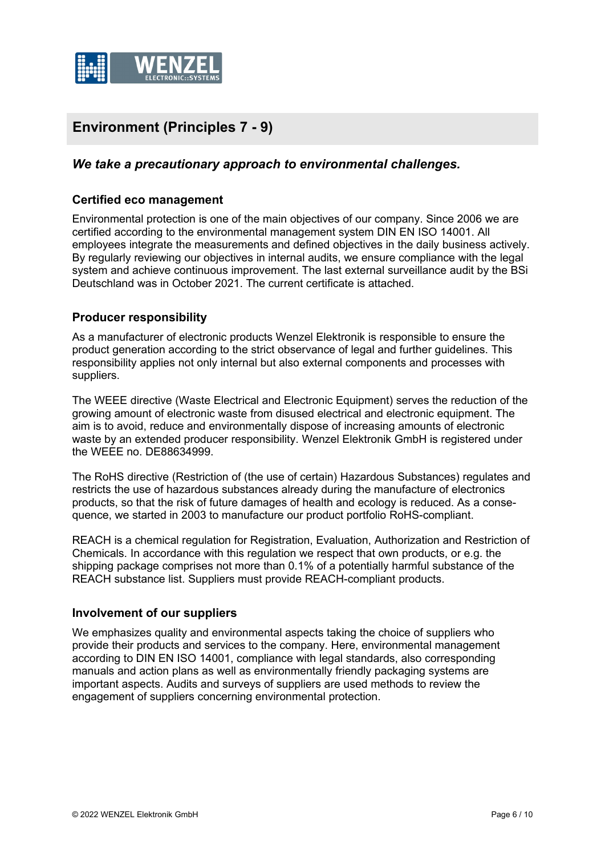

# **Environment (Principles 7 - 9)**

## *We take a precautionary approach to environmental challenges.*

#### **Certified eco management**

Environmental protection is one of the main objectives of our company. Since 2006 we are certified according to the environmental management system DIN EN ISO 14001. All employees integrate the measurements and defined objectives in the daily business actively. By regularly reviewing our objectives in internal audits, we ensure compliance with the legal system and achieve continuous improvement. The last external surveillance audit by the BSi Deutschland was in October 2021. The current certificate is attached.

#### **Producer responsibility**

As a manufacturer of electronic products Wenzel Elektronik is responsible to ensure the product generation according to the strict observance of legal and further guidelines. This responsibility applies not only internal but also external components and processes with suppliers.

The WEEE directive (Waste Electrical and Electronic Equipment) serves the reduction of the growing amount of electronic waste from disused electrical and electronic equipment. The aim is to avoid, reduce and environmentally dispose of increasing amounts of electronic waste by an extended producer responsibility. Wenzel Elektronik GmbH is registered under the WEEE no. DE88634999.

The RoHS directive (Restriction of (the use of certain) Hazardous Substances) regulates and restricts the use of hazardous substances already during the manufacture of electronics products, so that the risk of future damages of health and ecology is reduced. As a consequence, we started in 2003 to manufacture our product portfolio RoHS-compliant.

REACH is a chemical regulation for Registration, Evaluation, Authorization and Restriction of Chemicals. In accordance with this regulation we respect that own products, or e.g. the shipping package comprises not more than 0.1% of a potentially harmful substance of the REACH substance list. Suppliers must provide REACH-compliant products.

#### **Involvement of our suppliers**

We emphasizes quality and environmental aspects taking the choice of suppliers who provide their products and services to the company. Here, environmental management according to DIN EN ISO 14001, compliance with legal standards, also corresponding manuals and action plans as well as environmentally friendly packaging systems are important aspects. Audits and surveys of suppliers are used methods to review the engagement of suppliers concerning environmental protection.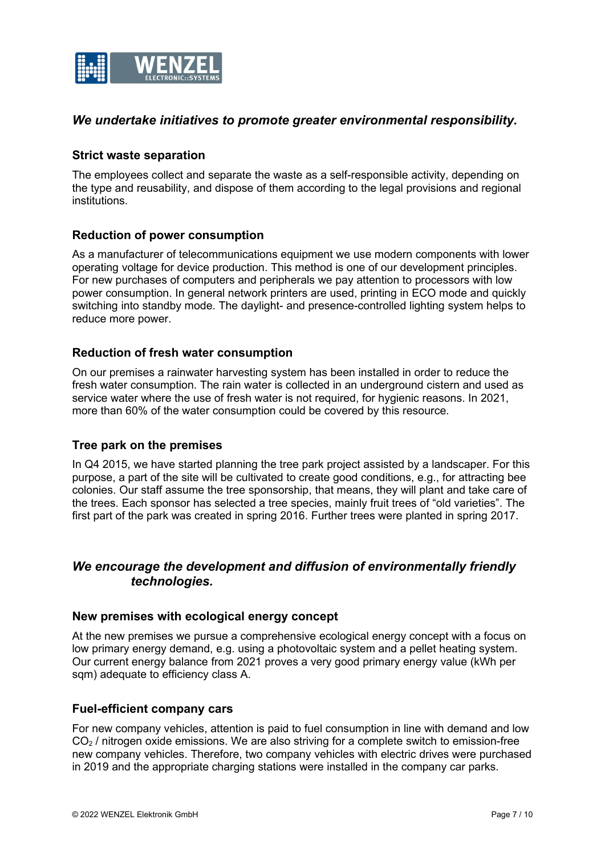

#### *We undertake initiatives to promote greater environmental responsibility.*

#### **Strict waste separation**

The employees collect and separate the waste as a self-responsible activity, depending on the type and reusability, and dispose of them according to the legal provisions and regional institutions.

#### **Reduction of power consumption**

As a manufacturer of telecommunications equipment we use modern components with lower operating voltage for device production. This method is one of our development principles. For new purchases of computers and peripherals we pay attention to processors with low power consumption. In general network printers are used, printing in ECO mode and quickly switching into standby mode. The daylight- and presence-controlled lighting system helps to reduce more power.

#### **Reduction of fresh water consumption**

On our premises a rainwater harvesting system has been installed in order to reduce the fresh water consumption. The rain water is collected in an underground cistern and used as service water where the use of fresh water is not required, for hygienic reasons. In 2021, more than 60% of the water consumption could be covered by this resource.

#### **Tree park on the premises**

In Q4 2015, we have started planning the tree park project assisted by a landscaper. For this purpose, a part of the site will be cultivated to create good conditions, e.g., for attracting bee colonies. Our staff assume the tree sponsorship, that means, they will plant and take care of the trees. Each sponsor has selected a tree species, mainly fruit trees of "old varieties". The first part of the park was created in spring 2016. Further trees were planted in spring 2017.

# *We encourage the development and diffusion of environmentally friendly technologies.*

#### **New premises with ecological energy concept**

At the new premises we pursue a comprehensive ecological energy concept with a focus on low primary energy demand, e.g. using a photovoltaic system and a pellet heating system. Our current energy balance from 2021 proves a very good primary energy value (kWh per sqm) adequate to efficiency class A.

#### **Fuel-efficient company cars**

For new company vehicles, attention is paid to fuel consumption in line with demand and low  $CO<sub>2</sub>$  / nitrogen oxide emissions. We are also striving for a complete switch to emission-free new company vehicles. Therefore, two company vehicles with electric drives were purchased in 2019 and the appropriate charging stations were installed in the company car parks.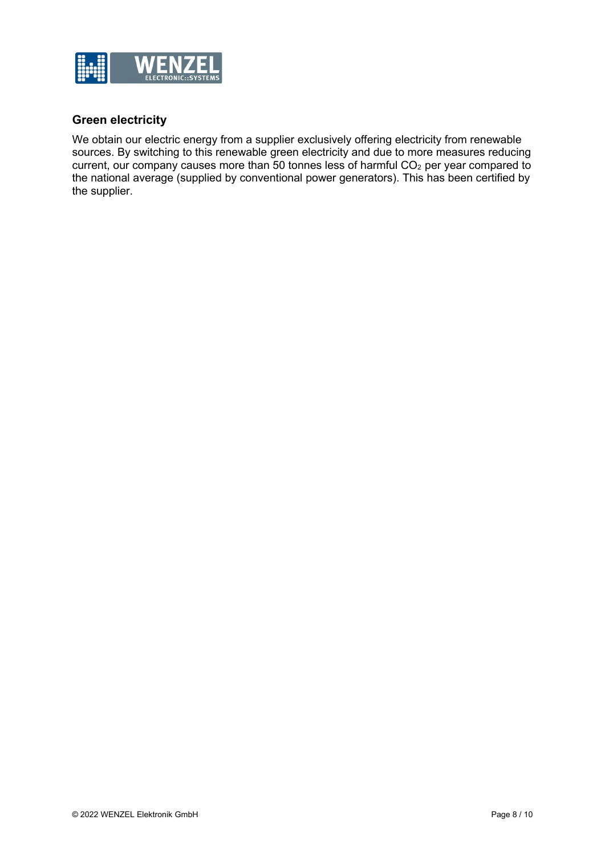

# **Green electricity**

We obtain our electric energy from a supplier exclusively offering electricity from renewable sources. By switching to this renewable green electricity and due to more measures reducing current, our company causes more than 50 tonnes less of harmful  $CO<sub>2</sub>$  per year compared to the national average (supplied by conventional power generators). This has been certified by the supplier.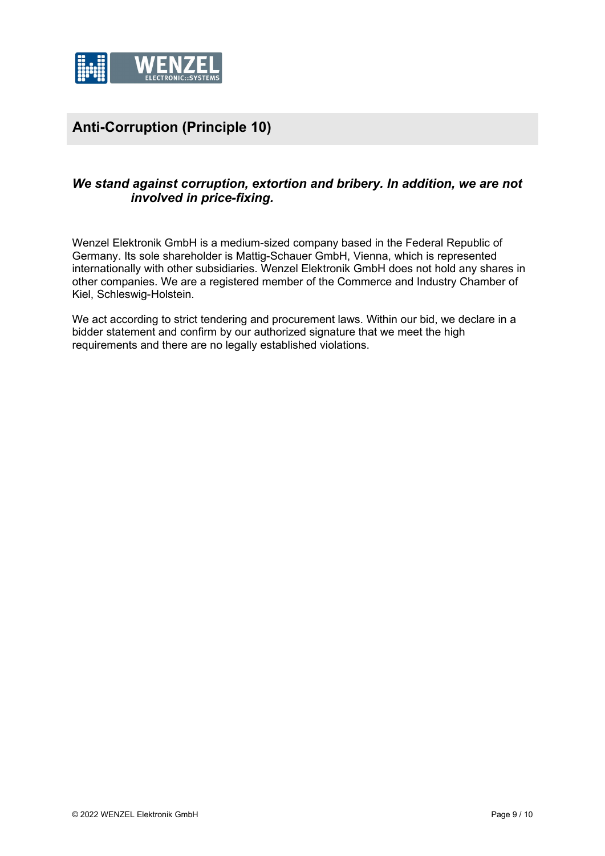

# **Anti-Corruption (Principle 10)**

# *We stand against corruption, extortion and bribery. In addition, we are not involved in price-fixing.*

Wenzel Elektronik GmbH is a medium-sized company based in the Federal Republic of Germany. Its sole shareholder is Mattig-Schauer GmbH, Vienna, which is represented internationally with other subsidiaries. Wenzel Elektronik GmbH does not hold any shares in other companies. We are a registered member of the Commerce and Industry Chamber of Kiel, Schleswig-Holstein.

We act according to strict tendering and procurement laws. Within our bid, we declare in a bidder statement and confirm by our authorized signature that we meet the high requirements and there are no legally established violations.